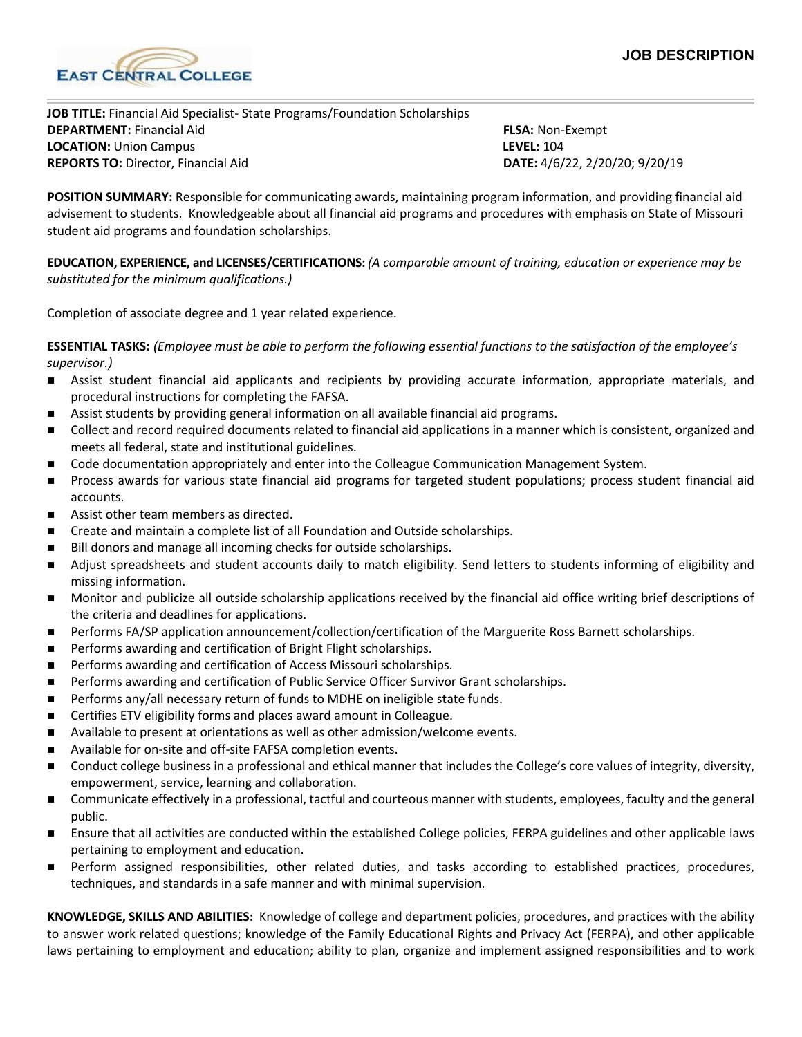

**JOB TITLE:** Financial Aid Specialist- State Programs/Foundation Scholarships **DEPARTMENT:** Financial Aid **FLSA:** Non-Exempt **LOCATION:** Union Campus **LEVEL:** 104 **REPORTS TO:** Director, Financial Aid **DATE:** 4/6/22, 2/20/20; 9/20/19

**POSITION SUMMARY:** Responsible for communicating awards, maintaining program information, and providing financial aid advisement to students. Knowledgeable about all financial aid programs and procedures with emphasis on State of Missouri student aid programs and foundation scholarships.

**EDUCATION, EXPERIENCE, and LICENSES/CERTIFICATIONS:** *(A comparable amount of training, education or experience may be substituted for the minimum qualifications.)*

Completion of associate degree and 1 year related experience.

**ESSENTIAL TASKS:** *(Employee must be able to perform the following essential functions to the satisfaction of the employee's supervisor.)*

- Assist student financial aid applicants and recipients by providing accurate information, appropriate materials, and procedural instructions for completing the FAFSA.
- Assist students by providing general information on all available financial aid programs.
- **Ollect and record required documents related to financial aid applications in a manner which is consistent, organized and** meets all federal, state and institutional guidelines.
- Code documentation appropriately and enter into the Colleague Communication Management System.
- Process awards for various state financial aid programs for targeted student populations; process student financial aid accounts.
- Assist other team members as directed.
- **EXECT** Create and maintain a complete list of all Foundation and Outside scholarships.
- Bill donors and manage all incoming checks for outside scholarships.
- Adjust spreadsheets and student accounts daily to match eligibility. Send letters to students informing of eligibility and missing information.
- Monitor and publicize all outside scholarship applications received by the financial aid office writing brief descriptions of the criteria and deadlines for applications.
- Performs FA/SP application announcement/collection/certification of the Marguerite Ross Barnett scholarships.
- **Performs awarding and certification of Bright Flight scholarships.**
- **Performs awarding and certification of Access Missouri scholarships.**
- **Performs awarding and certification of Public Service Officer Survivor Grant scholarships.**
- **Performs any/all necessary return of funds to MDHE on ineligible state funds.**
- Certifies ETV eligibility forms and places award amount in Colleague.
- Available to present at orientations as well as other admission/welcome events.
- Available for on-site and off-site FAFSA completion events.
- Conduct college business in a professional and ethical manner that includes the College's core values of integrity, diversity, empowerment, service, learning and collaboration.
- Communicate effectively in a professional, tactful and courteous manner with students, employees, faculty and the general public.
- Ensure that all activities are conducted within the established College policies, FERPA guidelines and other applicable laws pertaining to employment and education.
- Perform assigned responsibilities, other related duties, and tasks according to established practices, procedures, techniques, and standards in a safe manner and with minimal supervision.

**KNOWLEDGE, SKILLS AND ABILITIES:** Knowledge of college and department policies, procedures, and practices with the ability to answer work related questions; knowledge of the Family Educational Rights and Privacy Act (FERPA), and other applicable laws pertaining to employment and education; ability to plan, organize and implement assigned responsibilities and to work